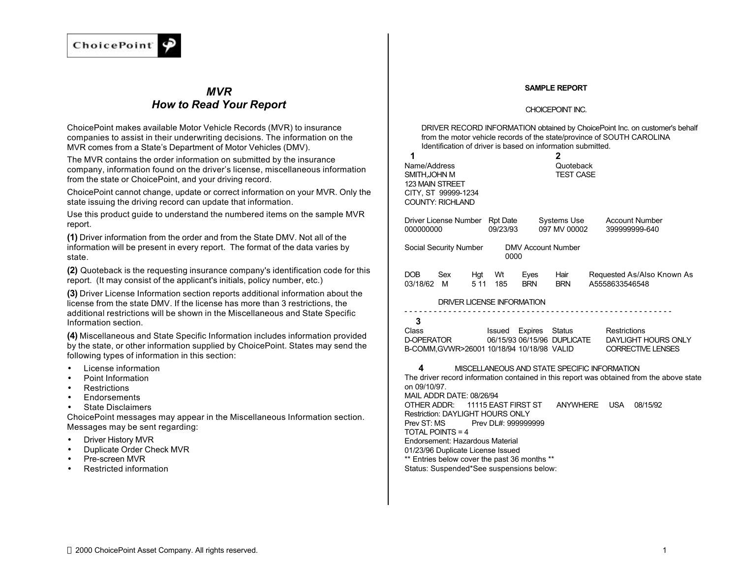

# *MVR How to Read Your Report*

ChoicePoint makes available Motor Vehicle Records (MVR) to insurance companies to assist in their underwriting decisions. The information on the MVR comes from a State's Department of Motor Vehicles (DMV).

The MVR contains the order information on submitted by the insurance company, information found on the driver's license, miscellaneous information from the state or ChoicePoint, and your driving record.

ChoicePoint cannot change, update or correct information on your MVR. Only the state issuing the driving record can update that information.

Use this product guide to understand the numbered items on the sample MVR report.

**(1)** Driver information from the order and from the State DMV. Not all of the information will be present in every report. The format of the data varies by state.

**(2)** Quoteback is the requesting insurance company's identification code for this report. (It may consist of the applicant's initials, policy number, etc.)

**(3)** Driver License Information section reports additional information about the license from the state DMV. If the license has more than 3 restrictions, the additional restrictions will be shown in the Miscellaneous and State Specific Information section.

**(4)** Miscellaneous and State Specific Information includes information provided by the state, or other information supplied by ChoicePoint. States may send the following types of information in this section:

- License information
- Point Information
- Restrictions
- Endorsements
- State Disclaimers

ChoicePoint messages may appear in the Miscellaneous Information section. Messages may be sent regarding:

- Driver History MVR
- Duplicate Order Check MVR
- Pre-screen MVR
- Restricted information

#### **SAMPLE REPORT**

#### CHOICEPOINT INC.

DRIVER RECORD INFORMATION obtained by ChoicePoint Inc. on customer's behalf from the motor vehicle records of the state/province of SOUTH CAROLINA Identification of driver is based on information submitted.

| 1<br>Name/Address<br>SMITH.JOHN M<br><b>123 MAIN STREET</b><br>CITY, ST 99999-1234<br><b>COUNTY: RICHLAND</b>                                                                                                                                         | 2<br>Quoteback<br><b>TEST CASE</b>                                                  |                                                                                                      |
|-------------------------------------------------------------------------------------------------------------------------------------------------------------------------------------------------------------------------------------------------------|-------------------------------------------------------------------------------------|------------------------------------------------------------------------------------------------------|
| Driver License Number Rpt Date<br>000000000<br>09/23/93                                                                                                                                                                                               | Systems Use<br>097 MV 00002                                                         | <b>Account Number</b><br>399999999-640                                                               |
| Social Security Number                                                                                                                                                                                                                                | <b>DMV Account Number</b><br>0000                                                   |                                                                                                      |
| DOB<br>Sex<br>Hgt Wt<br>03/18/62<br>5 1 1<br>185<br>M <sub>1</sub>                                                                                                                                                                                    | Hair<br>Eyes<br><b>BRN</b><br><b>BRN</b>                                            | Requested As/Also Known As<br>A5558633546548                                                         |
| DRIVER LICENSE INFORMATION                                                                                                                                                                                                                            |                                                                                     |                                                                                                      |
| 3<br>Class<br>D-OPERATOR<br>B-COMM.GVWR>26001 10/18/94 10/18/98 VALID                                                                                                                                                                                 | Issued Expires Status<br>06/15/93 06/15/96 DUPLICATE                                | Restrictions<br>DAYLIGHT HOURS ONLY<br><b>CORRECTIVE LENSES</b>                                      |
| 4<br>on 09/10/97.<br>MAIL ADDR DATE: 08/26/94<br>OTHER ADDR:                                                                                                                                                                                          | MISCELLANEOUS AND STATE SPECIFIC INFORMATION<br>11115 EAST FIRST ST<br>ANYWHERE USA | The driver record information contained in this report was obtained from the above state<br>08/15/92 |
| <b>Restriction: DAYLIGHT HOURS ONLY</b><br>Prev ST: MS<br><b>TOTAL POINTS = 4</b><br>Endorsement: Hazardous Material<br>01/23/96 Duplicate License Issued<br>** Entries below cover the past 36 months **<br>Status: Suspended*See suspensions below: | Prev DL#: 999999999                                                                 |                                                                                                      |